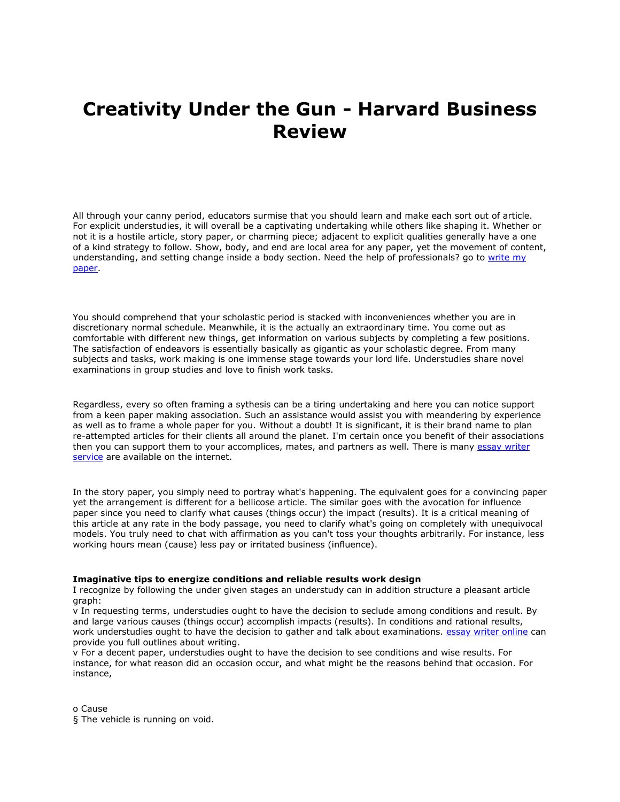# **Creativity Under the Gun - Harvard Business Review**

All through your canny period, educators surmise that you should learn and make each sort out of article. For explicit understudies, it will overall be a captivating undertaking while others like shaping it. Whether or not it is a hostile article, story paper, or charming piece; adjacent to explicit qualities generally have a one of a kind strategy to follow. Show, body, and end are local area for any paper, yet the movement of content, understanding, and setting change inside a body section. Need the help of professionals? go to [write my](https://www.collegeessay.org/)  [paper.](https://www.collegeessay.org/)

You should comprehend that your scholastic period is stacked with inconveniences whether you are in discretionary normal schedule. Meanwhile, it is the actually an extraordinary time. You come out as comfortable with different new things, get information on various subjects by completing a few positions. The satisfaction of endeavors is essentially basically as gigantic as your scholastic degree. From many subjects and tasks, work making is one immense stage towards your lord life. Understudies share novel examinations in group studies and love to finish work tasks.

Regardless, every so often framing a sythesis can be a tiring undertaking and here you can notice support from a keen paper making association. Such an assistance would assist you with meandering by experience as well as to frame a whole paper for you. Without a doubt! It is significant, it is their brand name to plan re-attempted articles for their clients all around the planet. I'm certain once you benefit of their associations then you can support them to your accomplices, mates, and partners as well. There is many [essay writer](https://www.collegeessay.org/)  [service](https://www.collegeessay.org/) are available on the internet.

In the story paper, you simply need to portray what's happening. The equivalent goes for a convincing paper yet the arrangement is different for a bellicose article. The similar goes with the avocation for influence paper since you need to clarify what causes (things occur) the impact (results). It is a critical meaning of this article at any rate in the body passage, you need to clarify what's going on completely with unequivocal models. You truly need to chat with affirmation as you can't toss your thoughts arbitrarily. For instance, less working hours mean (cause) less pay or irritated business (influence).

#### **Imaginative tips to energize conditions and reliable results work design**

I recognize by following the under given stages an understudy can in addition structure a pleasant article graph:

v In requesting terms, understudies ought to have the decision to seclude among conditions and result. By and large various causes (things occur) accomplish impacts (results). In conditions and rational results, work understudies ought to have the decision to gather and talk about examinations. [essay writer online](https://www.essaywritingservice.college/) can provide you full outlines about writing.

v For a decent paper, understudies ought to have the decision to see conditions and wise results. For instance, for what reason did an occasion occur, and what might be the reasons behind that occasion. For instance,

o Cause

§ The vehicle is running on void.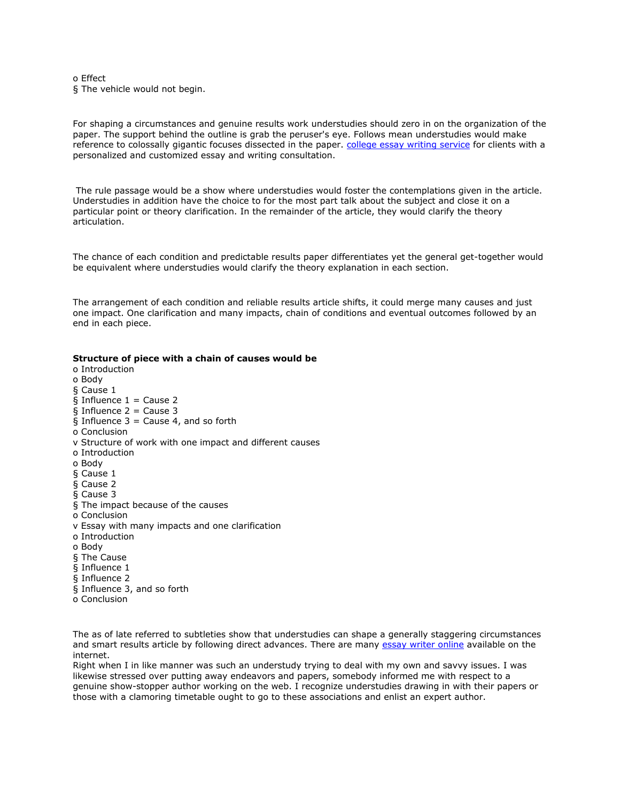o Effect § The vehicle would not begin.

For shaping a circumstances and genuine results work understudies should zero in on the organization of the paper. The support behind the outline is grab the peruser's eye. Follows mean understudies would make reference to colossally gigantic focuses dissected in the paper. [college essay writing service](https://www.essaywritingservice.college/) for clients with a personalized and customized essay and writing consultation.

The rule passage would be a show where understudies would foster the contemplations given in the article. Understudies in addition have the choice to for the most part talk about the subject and close it on a particular point or theory clarification. In the remainder of the article, they would clarify the theory articulation.

The chance of each condition and predictable results paper differentiates yet the general get-together would be equivalent where understudies would clarify the theory explanation in each section.

The arrangement of each condition and reliable results article shifts, it could merge many causes and just one impact. One clarification and many impacts, chain of conditions and eventual outcomes followed by an end in each piece.

#### **Structure of piece with a chain of causes would be**

o Introduction o Body § Cause 1  $\overline{\S}$  Influence 1 = Cause 2 § Influence  $2 =$  Cause 3 § Influence  $3 =$  Cause 4, and so forth o Conclusion v Structure of work with one impact and different causes o Introduction o Body § Cause 1 § Cause 2 § Cause 3 § The impact because of the causes o Conclusion v Essay with many impacts and one clarification o Introduction o Body § The Cause § Influence 1 § Influence 2 § Influence 3, and so forth o Conclusion

The as of late referred to subtleties show that understudies can shape a generally staggering circumstances and smart results article by following direct advances. There are many [essay writer online](https://www.sharkpapers.com/) available on the internet.

Right when I in like manner was such an understudy trying to deal with my own and savvy issues. I was likewise stressed over putting away endeavors and papers, somebody informed me with respect to a genuine show-stopper author working on the web. I recognize understudies drawing in with their papers or those with a clamoring timetable ought to go to these associations and enlist an expert author.